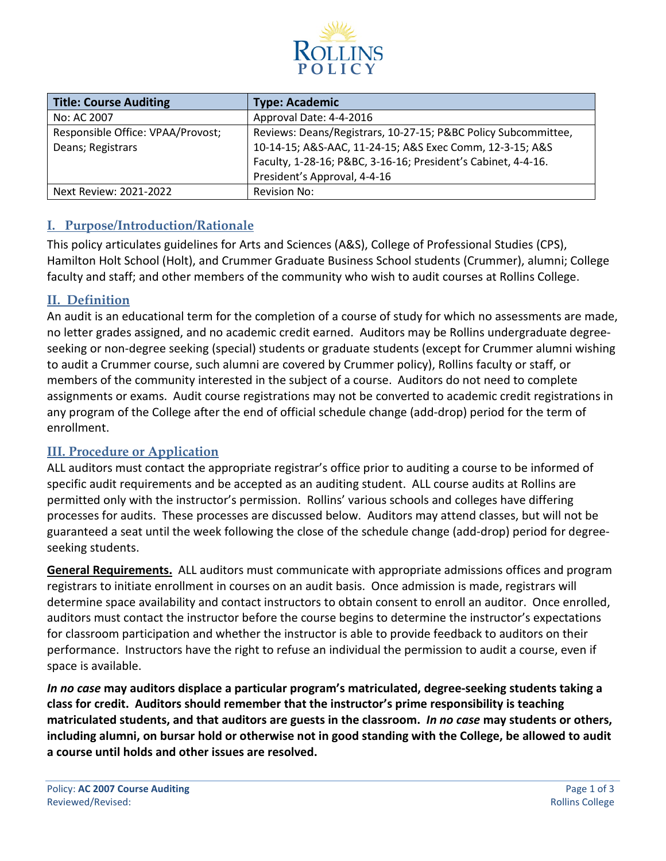

| <b>Title: Course Auditing</b>     | <b>Type: Academic</b>                                          |  |  |
|-----------------------------------|----------------------------------------------------------------|--|--|
| No: AC 2007                       | Approval Date: 4-4-2016                                        |  |  |
| Responsible Office: VPAA/Provost; | Reviews: Deans/Registrars, 10-27-15; P&BC Policy Subcommittee, |  |  |
| Deans; Registrars                 | 10-14-15; A&S-AAC, 11-24-15; A&S Exec Comm, 12-3-15; A&S       |  |  |
|                                   | Faculty, 1-28-16; P&BC, 3-16-16; President's Cabinet, 4-4-16.  |  |  |
|                                   | President's Approval, 4-4-16                                   |  |  |
| Next Review: 2021-2022            | Revision No:                                                   |  |  |

### **I. Purpose/Introduction/Rationale**

This policy articulates guidelines for Arts and Sciences (A&S), College of Professional Studies (CPS), Hamilton Holt School (Holt), and Crummer Graduate Business School students (Crummer), alumni; College faculty and staff; and other members of the community who wish to audit courses at Rollins College.

#### **II. Definition**

An audit is an educational term for the completion of a course of study for which no assessments are made, no letter grades assigned, and no academic credit earned. Auditors may be Rollins undergraduate degreeseeking or non-degree seeking (special) students or graduate students (except for Crummer alumni wishing to audit a Crummer course, such alumni are covered by Crummer policy), Rollins faculty or staff, or members of the community interested in the subject of a course. Auditors do not need to complete assignments or exams. Audit course registrations may not be converted to academic credit registrations in any program of the College after the end of official schedule change (add-drop) period for the term of enrollment.

#### **III. Procedure or Application**

ALL auditors must contact the appropriate registrar's office prior to auditing a course to be informed of specific audit requirements and be accepted as an auditing student. ALL course audits at Rollins are permitted only with the instructor's permission. Rollins' various schools and colleges have differing processes for audits. These processes are discussed below. Auditors may attend classes, but will not be guaranteed a seat until the week following the close of the schedule change (add-drop) period for degreeseeking students.

**General Requirements.** ALL auditors must communicate with appropriate admissions offices and program registrars to initiate enrollment in courses on an audit basis. Once admission is made, registrars will determine space availability and contact instructors to obtain consent to enroll an auditor. Once enrolled, auditors must contact the instructor before the course begins to determine the instructor's expectations for classroom participation and whether the instructor is able to provide feedback to auditors on their performance. Instructors have the right to refuse an individual the permission to audit a course, even if space is available.

*In no case* **may auditors displace a particular program's matriculated, degree-seeking students taking a class for credit. Auditors should remember that the instructor's prime responsibility is teaching matriculated students, and that auditors are guests in the classroom.** *In no case* **may students or others, including alumni, on bursar hold or otherwise not in good standing with the College, be allowed to audit a course until holds and other issues are resolved.**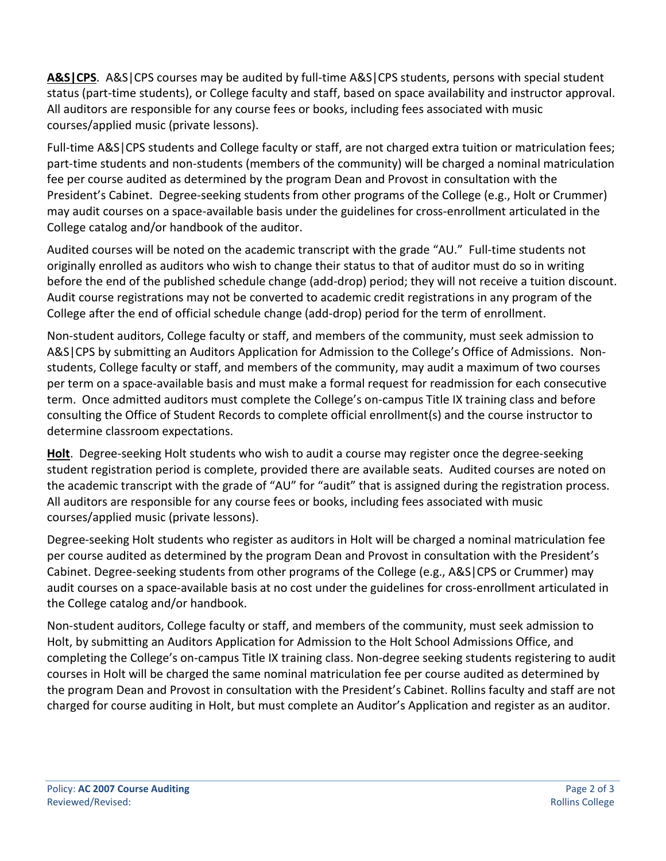**A&S|CPS**. A&S|CPS courses may be audited by full-time A&S|CPS students, persons with special student status (part-time students), or College faculty and staff, based on space availability and instructor approval. All auditors are responsible for any course fees or books, including fees associated with music courses/applied music (private lessons).

Full-time A&S|CPS students and College faculty or staff, are not charged extra tuition or matriculation fees; part-time students and non-students (members of the community) will be charged a nominal matriculation fee per course audited as determined by the program Dean and Provost in consultation with the President's Cabinet. Degree-seeking students from other programs of the College (e.g., Holt or Crummer) may audit courses on a space-available basis under the guidelines for cross-enrollment articulated in the College catalog and/or handbook of the auditor.

Audited courses will be noted on the academic transcript with the grade "AU." Full-time students not originally enrolled as auditors who wish to change their status to that of auditor must do so in writing before the end of the published schedule change (add-drop) period; they will not receive a tuition discount. Audit course registrations may not be converted to academic credit registrations in any program of the College after the end of official schedule change (add-drop) period for the term of enrollment.

Non-student auditors, College faculty or staff, and members of the community, must seek admission to A&S|CPS by submitting an Auditors Application for Admission to the College's Office of Admissions. Nonstudents, College faculty or staff, and members of the community, may audit a maximum of two courses per term on a space-available basis and must make a formal request for readmission for each consecutive term. Once admitted auditors must complete the College's on-campus Title IX training class and before consulting the Office of Student Records to complete official enrollment(s) and the course instructor to determine classroom expectations.

**Holt**. Degree-seeking Holt students who wish to audit a course may register once the degree-seeking student registration period is complete, provided there are available seats. Audited courses are noted on the academic transcript with the grade of "AU" for "audit" that is assigned during the registration process. All auditors are responsible for any course fees or books, including fees associated with music courses/applied music (private lessons).

Degree-seeking Holt students who register as auditors in Holt will be charged a nominal matriculation fee per course audited as determined by the program Dean and Provost in consultation with the President's Cabinet. Degree-seeking students from other programs of the College (e.g., A&S|CPS or Crummer) may audit courses on a space-available basis at no cost under the guidelines for cross-enrollment articulated in the College catalog and/or handbook.

Non-student auditors, College faculty or staff, and members of the community, must seek admission to Holt, by submitting an Auditors Application for Admission to the Holt School Admissions Office, and completing the College's on-campus Title IX training class. Non-degree seeking students registering to audit courses in Holt will be charged the same nominal matriculation fee per course audited as determined by the program Dean and Provost in consultation with the President's Cabinet. Rollins faculty and staff are not charged for course auditing in Holt, but must complete an Auditor's Application and register as an auditor.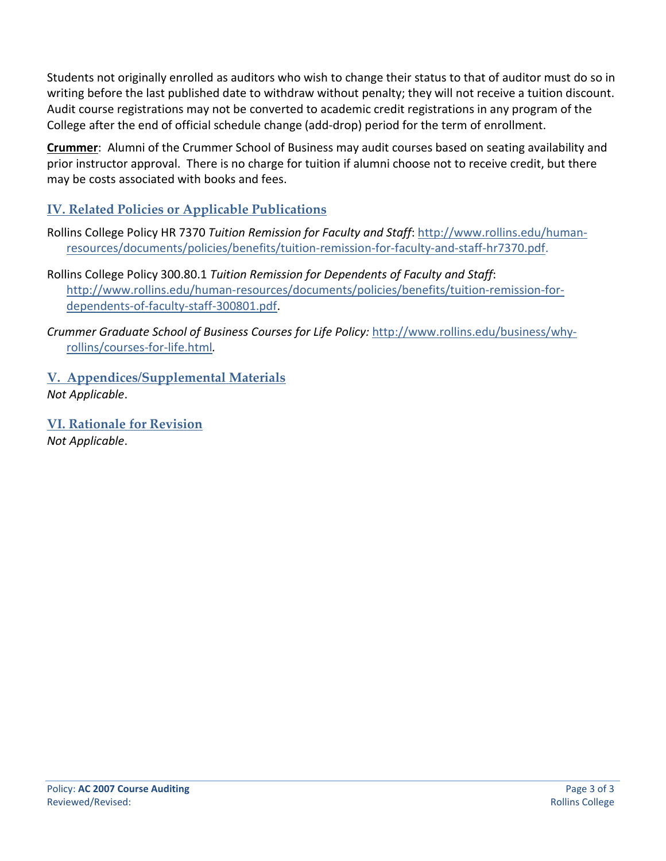Students not originally enrolled as auditors who wish to change their status to that of auditor must do so in writing before the last published date to withdraw without penalty; they will not receive a tuition discount. Audit course registrations may not be converted to academic credit registrations in any program of the College after the end of official schedule change (add-drop) period for the term of enrollment.

**Crummer**: Alumni of the Crummer School of Business may audit courses based on seating availability and prior instructor approval. There is no charge for tuition if alumni choose not to receive credit, but there may be costs associated with books and fees.

# **IV. Related Policies or Applicable Publications**

- Rollins College Policy HR 7370 *Tuition Remission for Faculty and Staff*: [http://www.rollins.edu/human](http://www.rollins.edu/human-resources/documents/policies/benefits/tuition-remission-for-faculty-and-staff-hr7370.pdf)[resources/documents/policies/benefits/tuition-remission-for-faculty-and-staff-hr7370.pdf.](http://www.rollins.edu/human-resources/documents/policies/benefits/tuition-remission-for-faculty-and-staff-hr7370.pdf)
- Rollins College Policy 300.80.1 *Tuition Remission for Dependents of Faculty and Staff*: [http://www.rollins.edu/human-resources/documents/policies/benefits/tuition-remission-for](http://www.rollins.edu/human-resources/documents/policies/benefits/tuition-remission-for-dependents-of-faculty-staff-300801.pdf)[dependents-of-faculty-staff-300801.pdf.](http://www.rollins.edu/human-resources/documents/policies/benefits/tuition-remission-for-dependents-of-faculty-staff-300801.pdf)
- *Crummer Graduate School of Business Courses for Life Policy:* [http://www.rollins.edu/business/why](http://www.rollins.edu/business/why-rollins/courses-for-life.html)[rollins/courses-for-life.html](http://www.rollins.edu/business/why-rollins/courses-for-life.html)*.*
- **V. Appendices/Supplemental Materials** *Not Applicable*.
- **VI. Rationale for Revision** *Not Applicable*.